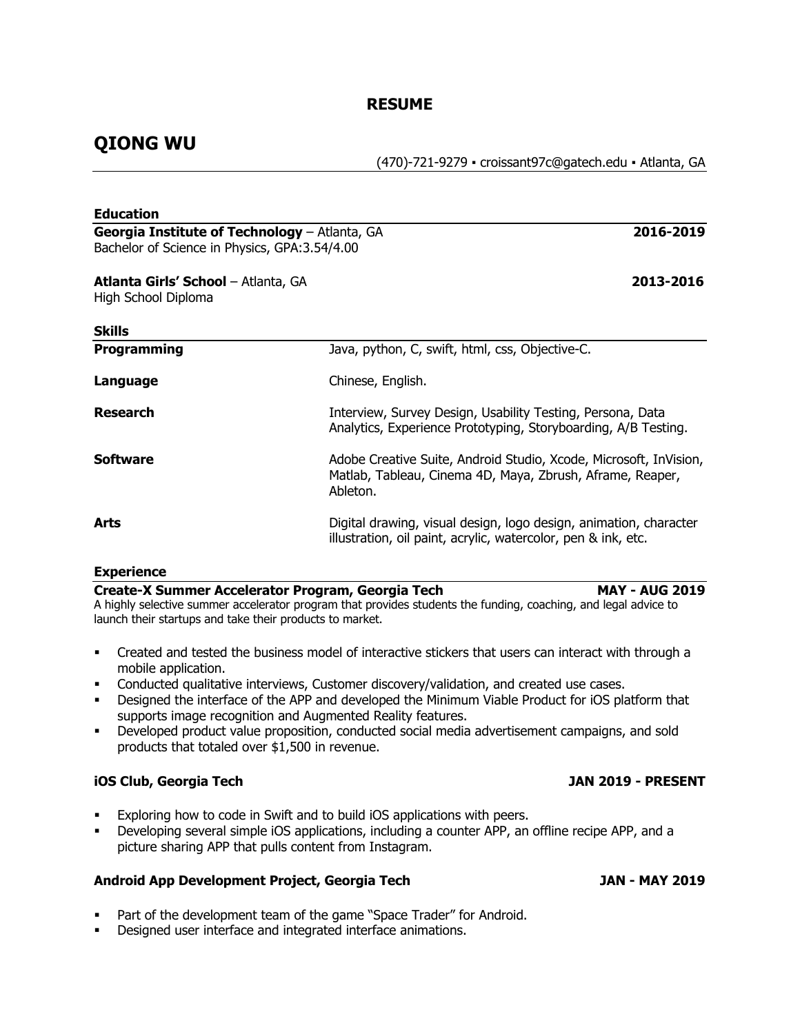## **RESUME**

# **QIONG WU**

(470)-721-9279 ▪ croissant97c@gatech.edu ▪ Atlanta, GA

| <b>Education</b>                                                                               |                                                                                                                                            |  |
|------------------------------------------------------------------------------------------------|--------------------------------------------------------------------------------------------------------------------------------------------|--|
| Georgia Institute of Technology - Atlanta, GA<br>Bachelor of Science in Physics, GPA:3.54/4.00 | 2016-2019                                                                                                                                  |  |
| <b>Atlanta Girls' School - Atlanta, GA</b><br>High School Diploma                              | 2013-2016                                                                                                                                  |  |
| <b>Skills</b>                                                                                  |                                                                                                                                            |  |
| <b>Programming</b>                                                                             | Java, python, C, swift, html, css, Objective-C.                                                                                            |  |
| Language                                                                                       | Chinese, English.                                                                                                                          |  |
| <b>Research</b>                                                                                | Interview, Survey Design, Usability Testing, Persona, Data<br>Analytics, Experience Prototyping, Storyboarding, A/B Testing.               |  |
| <b>Software</b>                                                                                | Adobe Creative Suite, Android Studio, Xcode, Microsoft, InVision,<br>Matlab, Tableau, Cinema 4D, Maya, Zbrush, Aframe, Reaper,<br>Ableton. |  |
| <b>Arts</b>                                                                                    | Digital drawing, visual design, logo design, animation, character<br>illustration, oil paint, acrylic, watercolor, pen & ink, etc.         |  |
| <b>Experience</b>                                                                              |                                                                                                                                            |  |
| Create-X Summer Accelerator Program, Georgia Tech                                              | <b>MAY - AUG 2019</b><br>A highly selective summer accelerator program that provides students the funding, coaching, and legal advice to   |  |

A highly selective summer accelerator program that provides students the funding, coaching, and legal advice to launch their startups and take their products to market.

- Created and tested the business model of interactive stickers that users can interact with through a mobile application.
- Conducted qualitative interviews, Customer discovery/validation, and created use cases.
- Designed the interface of the APP and developed the Minimum Viable Product for iOS platform that supports image recognition and Augmented Reality features.
- § Developed product value proposition, conducted social media advertisement campaigns, and sold products that totaled over \$1,500 in revenue.

## **iOS Club, Georgia Tech JAN 2019 - PRESENT**

- Exploring how to code in Swift and to build iOS applications with peers.
- § Developing several simple iOS applications, including a counter APP, an offline recipe APP, and a picture sharing APP that pulls content from Instagram.

## **Android App Development Project, Georgia Tech JAN - MAY 2019**

- Part of the development team of the game "Space Trader" for Android.
- Designed user interface and integrated interface animations.